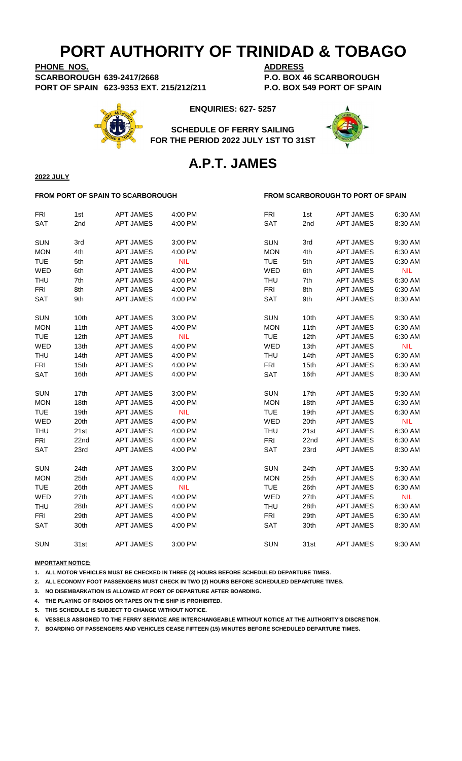**PHONE NOS. ADDRESS SCARBOROUGH 639-2417/2668 P.O. BOX 46 SCARBOROUGH PORT OF SPAIN 623-9353 EXT. 215/212/211 P.O. BOX 549 PORT OF SPAIN**



**ENQUIRIES: 627- 5257**

**SCHEDULE OF FERRY SAILING FOR THE PERIOD 2022 JULY 1ST TO 31ST**



### **A.P.T. JAMES**

**2022 JULY**

### **FROM PORT OF SPAIN TO SCARBOROUGH FROM SCARBOROUGH TO PORT OF SPAIN**

| <b>FRI</b> | 1st  | <b>APT JAMES</b> | 4:00 PM    | <b>FRI</b> | 1st  | <b>APT JAMES</b> | 6:30 AM    |
|------------|------|------------------|------------|------------|------|------------------|------------|
| <b>SAT</b> | 2nd  | <b>APT JAMES</b> | 4:00 PM    | <b>SAT</b> | 2nd  | <b>APT JAMES</b> | 8:30 AM    |
| <b>SUN</b> | 3rd  | <b>APT JAMES</b> | 3:00 PM    | <b>SUN</b> | 3rd  | <b>APT JAMES</b> | 9:30 AM    |
| <b>MON</b> | 4th  | <b>APT JAMES</b> | 4:00 PM    | <b>MON</b> | 4th  | <b>APT JAMES</b> | 6:30 AM    |
| <b>TUE</b> | 5th  | <b>APT JAMES</b> | <b>NIL</b> | <b>TUE</b> | 5th  | <b>APT JAMES</b> | 6:30 AM    |
| WED        | 6th  | <b>APT JAMES</b> | 4:00 PM    | WED        | 6th  | <b>APT JAMES</b> | <b>NIL</b> |
| <b>THU</b> | 7th  | <b>APT JAMES</b> | 4:00 PM    | THU        | 7th  | <b>APT JAMES</b> | 6:30 AM    |
| <b>FRI</b> | 8th  | <b>APT JAMES</b> | 4:00 PM    | <b>FRI</b> | 8th  | <b>APT JAMES</b> | 6:30 AM    |
| <b>SAT</b> | 9th  | <b>APT JAMES</b> | 4:00 PM    | <b>SAT</b> | 9th  | <b>APT JAMES</b> | 8:30 AM    |
| <b>SUN</b> | 10th | <b>APT JAMES</b> | 3:00 PM    | <b>SUN</b> | 10th | <b>APT JAMES</b> | 9:30 AM    |
| <b>MON</b> | 11th | <b>APT JAMES</b> | 4:00 PM    | <b>MON</b> | 11th | <b>APT JAMES</b> | 6:30 AM    |
| <b>TUE</b> | 12th | <b>APT JAMES</b> | <b>NIL</b> | <b>TUE</b> | 12th | <b>APT JAMES</b> | 6:30 AM    |
| WED        | 13th | <b>APT JAMES</b> | 4:00 PM    | WED        | 13th | <b>APT JAMES</b> | <b>NIL</b> |
| <b>THU</b> | 14th | <b>APT JAMES</b> | 4:00 PM    | <b>THU</b> | 14th | <b>APT JAMES</b> | 6:30 AM    |
| <b>FRI</b> | 15th | <b>APT JAMES</b> | 4:00 PM    | <b>FRI</b> | 15th | <b>APT JAMES</b> | 6:30 AM    |
| <b>SAT</b> | 16th | <b>APT JAMES</b> | 4:00 PM    | <b>SAT</b> | 16th | <b>APT JAMES</b> | 8:30 AM    |
| <b>SUN</b> | 17th | <b>APT JAMES</b> | 3:00 PM    | <b>SUN</b> | 17th | <b>APT JAMES</b> | 9:30 AM    |
| <b>MON</b> | 18th | <b>APT JAMES</b> | 4:00 PM    | <b>MON</b> | 18th | <b>APT JAMES</b> | 6:30 AM    |
| <b>TUE</b> | 19th | <b>APT JAMES</b> | <b>NIL</b> | <b>TUE</b> | 19th | <b>APT JAMES</b> | 6:30 AM    |
| WED        | 20th | <b>APT JAMES</b> | 4:00 PM    | WED        | 20th | <b>APT JAMES</b> | <b>NIL</b> |
| <b>THU</b> | 21st | <b>APT JAMES</b> | 4:00 PM    | THU        | 21st | <b>APT JAMES</b> | 6:30 AM    |
| <b>FRI</b> | 22nd | <b>APT JAMES</b> | 4:00 PM    | <b>FRI</b> | 22nd | <b>APT JAMES</b> | 6:30 AM    |
| SAT        | 23rd | <b>APT JAMES</b> | 4:00 PM    | <b>SAT</b> | 23rd | <b>APT JAMES</b> | 8:30 AM    |
| <b>SUN</b> | 24th | <b>APT JAMES</b> | 3:00 PM    | <b>SUN</b> | 24th | <b>APT JAMES</b> | 9:30 AM    |
| <b>MON</b> | 25th | <b>APT JAMES</b> | 4:00 PM    | <b>MON</b> | 25th | <b>APT JAMES</b> | 6:30 AM    |
| <b>TUE</b> | 26th | <b>APT JAMES</b> | <b>NIL</b> | <b>TUE</b> | 26th | <b>APT JAMES</b> | 6:30 AM    |
| WED        | 27th | <b>APT JAMES</b> | 4:00 PM    | WED        | 27th | <b>APT JAMES</b> | <b>NIL</b> |
| <b>THU</b> | 28th | <b>APT JAMES</b> | 4:00 PM    | <b>THU</b> | 28th | <b>APT JAMES</b> | 6:30 AM    |
| <b>FRI</b> | 29th | <b>APT JAMES</b> | 4:00 PM    | <b>FRI</b> | 29th | <b>APT JAMES</b> | 6:30 AM    |
| <b>SAT</b> | 30th | <b>APT JAMES</b> | 4:00 PM    | SAT        | 30th | <b>APT JAMES</b> | 8:30 AM    |
| <b>SUN</b> | 31st | <b>APT JAMES</b> | 3:00 PM    | <b>SUN</b> | 31st | <b>APT JAMES</b> | 9:30 AM    |

**IMPORTANT NOTICE:**

**1. ALL MOTOR VEHICLES MUST BE CHECKED IN THREE (3) HOURS BEFORE SCHEDULED DEPARTURE TIMES.** 

**2. ALL ECONOMY FOOT PASSENGERS MUST CHECK IN TWO (2) HOURS BEFORE SCHEDULED DEPARTURE TIMES.**

**3. NO DISEMBARKATION IS ALLOWED AT PORT OF DEPARTURE AFTER BOARDING.**

**4. THE PLAYING OF RADIOS OR TAPES ON THE SHIP IS PROHIBITED.**

**5. THIS SCHEDULE IS SUBJECT TO CHANGE WITHOUT NOTICE.**

**6. VESSELS ASSIGNED TO THE FERRY SERVICE ARE INTERCHANGEABLE WITHOUT NOTICE AT THE AUTHORITY'S DISCRETION.**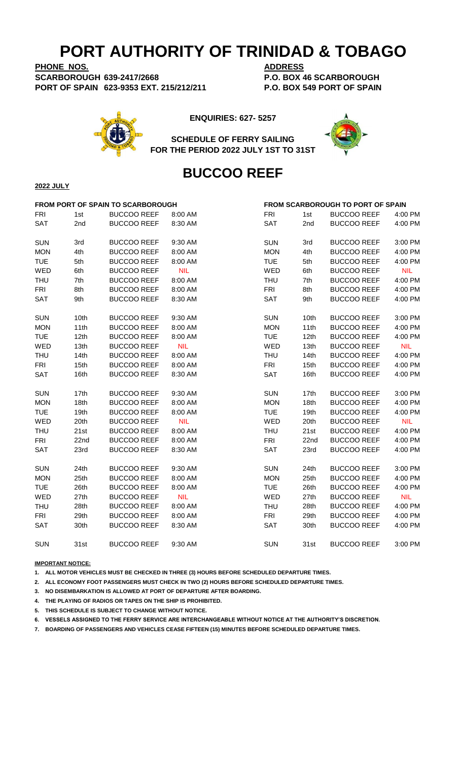**PHONE NOS. ADDRESS SCARBOROUGH 639-2417/2668 P.O. BOX 46 SCARBOROUGH PORT OF SPAIN 623-9353 EXT. 215/212/211 P.O. BOX 549 PORT OF SPAIN**



**ENQUIRIES: 627- 5257**



**SCHEDULE OF FERRY SAILING FOR THE PERIOD 2022 JULY 1ST TO 31ST**

### **BUCCOO REEF**

#### **2022 JULY**

| FROM PORT OF SPAIN TO SCARBOROUGH |      |                    |            |            | FROM SCARBOROUGH TO PORT OF SPAIN |                    |            |
|-----------------------------------|------|--------------------|------------|------------|-----------------------------------|--------------------|------------|
| <b>FRI</b>                        | 1st  | <b>BUCCOO REEF</b> | 8:00 AM    | <b>FRI</b> | 1st                               | <b>BUCCOO REEF</b> | 4:00 PM    |
| SAT                               | 2nd  | <b>BUCCOO REEF</b> | 8:30 AM    | <b>SAT</b> | 2nd                               | <b>BUCCOO REEF</b> | 4:00 PM    |
| <b>SUN</b>                        | 3rd  | <b>BUCCOO REEF</b> | 9:30 AM    | <b>SUN</b> | 3rd                               | <b>BUCCOO REEF</b> | 3:00 PM    |
| <b>MON</b>                        | 4th  | <b>BUCCOO REEF</b> | 8:00 AM    | <b>MON</b> | 4th                               | <b>BUCCOO REEF</b> | 4:00 PM    |
| <b>TUE</b>                        | 5th  | <b>BUCCOO REEF</b> | 8:00 AM    | <b>TUE</b> | 5th                               | <b>BUCCOO REEF</b> | 4:00 PM    |
| WED                               | 6th  | <b>BUCCOO REEF</b> | <b>NIL</b> | WED        | 6th                               | <b>BUCCOO REEF</b> | <b>NIL</b> |
| <b>THU</b>                        | 7th  | <b>BUCCOO REEF</b> | 8:00 AM    | <b>THU</b> | 7th                               | <b>BUCCOO REEF</b> | 4:00 PM    |
| <b>FRI</b>                        | 8th  | <b>BUCCOO REEF</b> | 8:00 AM    | <b>FRI</b> | 8th                               | <b>BUCCOO REEF</b> | 4:00 PM    |
| SAT                               | 9th  | <b>BUCCOO REEF</b> | 8:30 AM    | <b>SAT</b> | 9th                               | <b>BUCCOO REEF</b> | 4:00 PM    |
| <b>SUN</b>                        | 10th | <b>BUCCOO REEF</b> | 9:30 AM    | <b>SUN</b> | 10th                              | <b>BUCCOO REEF</b> | 3:00 PM    |
| <b>MON</b>                        | 11th | <b>BUCCOO REEF</b> | 8:00 AM    | <b>MON</b> | 11th                              | <b>BUCCOO REEF</b> | 4:00 PM    |
| <b>TUE</b>                        | 12th | <b>BUCCOO REEF</b> | 8:00 AM    | <b>TUE</b> | 12th                              | <b>BUCCOO REEF</b> | 4:00 PM    |
| WED                               | 13th | <b>BUCCOO REEF</b> | <b>NIL</b> | WED        | 13th                              | <b>BUCCOO REEF</b> | <b>NIL</b> |
| <b>THU</b>                        | 14th | <b>BUCCOO REEF</b> | 8:00 AM    | <b>THU</b> | 14th                              | <b>BUCCOO REEF</b> | 4:00 PM    |
| <b>FRI</b>                        | 15th | <b>BUCCOO REEF</b> | 8:00 AM    | <b>FRI</b> | 15th                              | <b>BUCCOO REEF</b> | 4:00 PM    |
| SAT                               | 16th | <b>BUCCOO REEF</b> | 8:30 AM    | SAT        | 16th                              | <b>BUCCOO REEF</b> | 4:00 PM    |
| <b>SUN</b>                        | 17th | <b>BUCCOO REEF</b> | 9:30 AM    | <b>SUN</b> | 17th                              | <b>BUCCOO REEF</b> | 3:00 PM    |
| <b>MON</b>                        | 18th | <b>BUCCOO REEF</b> | 8:00 AM    | <b>MON</b> | 18 <sub>th</sub>                  | <b>BUCCOO REEF</b> | 4:00 PM    |
| <b>TUE</b>                        | 19th | <b>BUCCOO REEF</b> | 8:00 AM    | <b>TUE</b> | 19th                              | <b>BUCCOO REEF</b> | 4:00 PM    |
| WED                               | 20th | <b>BUCCOO REEF</b> | <b>NIL</b> | WED        | 20th                              | <b>BUCCOO REEF</b> | <b>NIL</b> |
| <b>THU</b>                        | 21st | <b>BUCCOO REEF</b> | 8:00 AM    | <b>THU</b> | 21st                              | <b>BUCCOO REEF</b> | 4:00 PM    |
| <b>FRI</b>                        | 22nd | <b>BUCCOO REEF</b> | 8:00 AM    | <b>FRI</b> | 22nd                              | <b>BUCCOO REEF</b> | 4:00 PM    |
| SAT                               | 23rd | <b>BUCCOO REEF</b> | 8:30 AM    | <b>SAT</b> | 23rd                              | <b>BUCCOO REEF</b> | 4:00 PM    |
| <b>SUN</b>                        | 24th | <b>BUCCOO REEF</b> | 9:30 AM    | <b>SUN</b> | 24th                              | <b>BUCCOO REEF</b> | 3:00 PM    |
| <b>MON</b>                        | 25th | <b>BUCCOO REEF</b> | 8:00 AM    | <b>MON</b> | 25th                              | <b>BUCCOO REEF</b> | 4:00 PM    |
| <b>TUE</b>                        | 26th | <b>BUCCOO REEF</b> | 8:00 AM    | <b>TUE</b> | 26th                              | <b>BUCCOO REEF</b> | 4:00 PM    |
| WED                               | 27th | <b>BUCCOO REEF</b> | <b>NIL</b> | WED        | 27th                              | <b>BUCCOO REEF</b> | <b>NIL</b> |
| <b>THU</b>                        | 28th | <b>BUCCOO REEF</b> | 8:00 AM    | <b>THU</b> | 28th                              | <b>BUCCOO REEF</b> | 4:00 PM    |
| <b>FRI</b>                        | 29th | <b>BUCCOO REEF</b> | 8:00 AM    | <b>FRI</b> | 29th                              | <b>BUCCOO REEF</b> | 4:00 PM    |
| SAT                               | 30th | <b>BUCCOO REEF</b> | 8:30 AM    | SAT        | 30th                              | <b>BUCCOO REEF</b> | 4:00 PM    |
| <b>SUN</b>                        | 31st | <b>BUCCOO REEF</b> | 9:30 AM    | <b>SUN</b> | 31st                              | <b>BUCCOO REEF</b> | 3:00 PM    |

**IMPORTANT NOTICE:**

**1. ALL MOTOR VEHICLES MUST BE CHECKED IN THREE (3) HOURS BEFORE SCHEDULED DEPARTURE TIMES.** 

**2. ALL ECONOMY FOOT PASSENGERS MUST CHECK IN TWO (2) HOURS BEFORE SCHEDULED DEPARTURE TIMES.**

**3. NO DISEMBARKATION IS ALLOWED AT PORT OF DEPARTURE AFTER BOARDING.**

**4. THE PLAYING OF RADIOS OR TAPES ON THE SHIP IS PROHIBITED.**

**5. THIS SCHEDULE IS SUBJECT TO CHANGE WITHOUT NOTICE.**

**6. VESSELS ASSIGNED TO THE FERRY SERVICE ARE INTERCHANGEABLE WITHOUT NOTICE AT THE AUTHORITY'S DISCRETION.**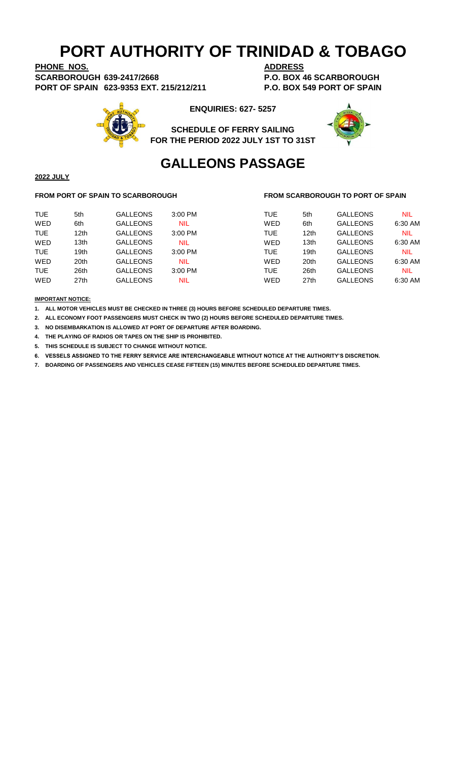**PHONE NOS. ADDRESS SCARBOROUGH 639-2417/2668 P.O. BOX 46 SCARBOROUGH PORT OF SPAIN 623-9353 EXT. 215/212/211 P.O. BOX 549 PORT OF SPAIN**



**ENQUIRIES: 627- 5257**





## **GALLEONS PASSAGE**

### **2022 JULY**

#### **FROM PORT OF SPAIN TO SCARBOROUGH FROM SCARBOROUGH TO PORT OF SPAIN**

| <b>TUE</b> | 5th              | <b>GALLEONS</b> | 3:00 PM    | <b>TUE</b> | 5th              | <b>GALLEONS</b> | NIL     |
|------------|------------------|-----------------|------------|------------|------------------|-----------------|---------|
| WED        | 6th              | <b>GALLEONS</b> | <b>NIL</b> | WED        | 6th              | <b>GALLEONS</b> | 6:30 AM |
| <b>TUE</b> | 12 <sub>th</sub> | <b>GALLEONS</b> | 3:00 PM    | <b>TUE</b> | 12 <sub>th</sub> | <b>GALLEONS</b> | NIL     |
| WED        | 13 <sub>th</sub> | <b>GALLEONS</b> | <b>NIL</b> | WED        | 13th             | <b>GALLEONS</b> | 6:30 AM |
| <b>TUE</b> | 19 <sub>th</sub> | <b>GALLEONS</b> | 3:00 PM    | <b>TUE</b> | 19th             | <b>GALLEONS</b> | NIL     |
| WED        | 20 <sup>th</sup> | <b>GALLEONS</b> | <b>NIL</b> | WED        | 20th             | <b>GALLEONS</b> | 6:30 AM |
| <b>TUE</b> | 26th             | <b>GALLEONS</b> | $3:00$ PM  | <b>TUE</b> | 26th             | <b>GALLEONS</b> | NIL     |
| WED        | 27th             | <b>GALLEONS</b> | <b>NIL</b> | WED        | 27th             | <b>GALLEONS</b> | 6:30 AM |
|            |                  |                 |            |            |                  |                 |         |

**IMPORTANT NOTICE:**

**1. ALL MOTOR VEHICLES MUST BE CHECKED IN THREE (3) HOURS BEFORE SCHEDULED DEPARTURE TIMES.** 

**2. ALL ECONOMY FOOT PASSENGERS MUST CHECK IN TWO (2) HOURS BEFORE SCHEDULED DEPARTURE TIMES.**

**3. NO DISEMBARKATION IS ALLOWED AT PORT OF DEPARTURE AFTER BOARDING.**

**4. THE PLAYING OF RADIOS OR TAPES ON THE SHIP IS PROHIBITED.**

**5. THIS SCHEDULE IS SUBJECT TO CHANGE WITHOUT NOTICE.**

**6. VESSELS ASSIGNED TO THE FERRY SERVICE ARE INTERCHANGEABLE WITHOUT NOTICE AT THE AUTHORITY'S DISCRETION.**